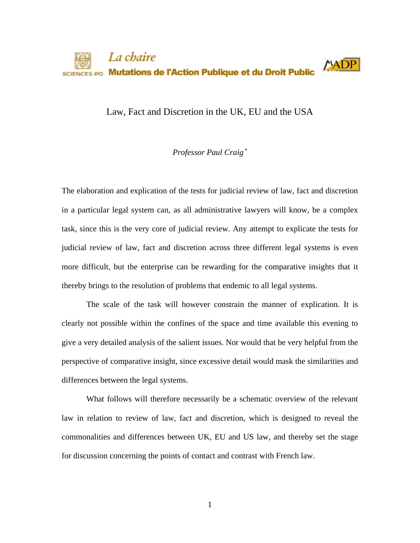

Law, Fact and Discretion in the UK, EU and the USA

# *Professor Paul Craig*[∗](#page-33-0)

The elaboration and explication of the tests for judicial review of law, fact and discretion in a particular legal system can, as all administrative lawyers will know, be a complex task, since this is the very core of judicial review. Any attempt to explicate the tests for judicial review of law, fact and discretion across three different legal systems is even more difficult, but the enterprise can be rewarding for the comparative insights that it thereby brings to the resolution of problems that endemic to all legal systems.

The scale of the task will however constrain the manner of explication. It is clearly not possible within the confines of the space and time available this evening to give a very detailed analysis of the salient issues. Nor would that be very helpful from the perspective of comparative insight, since excessive detail would mask the similarities and differences between the legal systems.

What follows will therefore necessarily be a schematic overview of the relevant law in relation to review of law, fact and discretion, which is designed to reveal the commonalities and differences between UK, EU and US law, and thereby set the stage for discussion concerning the points of contact and contrast with French law.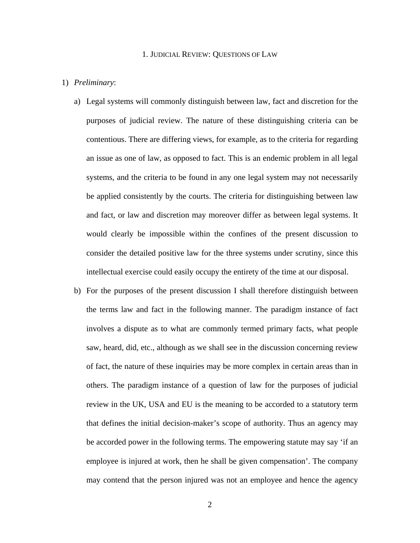### 1. JUDICIAL REVIEW: QUESTIONS OF LAW

### 1) *Preliminary*:

- a) Legal systems will commonly distinguish between law, fact and discretion for the purposes of judicial review. The nature of these distinguishing criteria can be contentious. There are differing views, for example, as to the criteria for regarding an issue as one of law, as opposed to fact. This is an endemic problem in all legal systems, and the criteria to be found in any one legal system may not necessarily be applied consistently by the courts. The criteria for distinguishing between law and fact, or law and discretion may moreover differ as between legal systems. It would clearly be impossible within the confines of the present discussion to consider the detailed positive law for the three systems under scrutiny, since this intellectual exercise could easily occupy the entirety of the time at our disposal.
- b) For the purposes of the present discussion I shall therefore distinguish between the terms law and fact in the following manner. The paradigm instance of fact involves a dispute as to what are commonly termed primary facts, what people saw, heard, did, etc., although as we shall see in the discussion concerning review of fact, the nature of these inquiries may be more complex in certain areas than in others. The paradigm instance of a question of law for the purposes of judicial review in the UK, USA and EU is the meaning to be accorded to a statutory term that defines the initial decision-maker's scope of authority. Thus an agency may be accorded power in the following terms. The empowering statute may say 'if an employee is injured at work, then he shall be given compensation'. The company may contend that the person injured was not an employee and hence the agency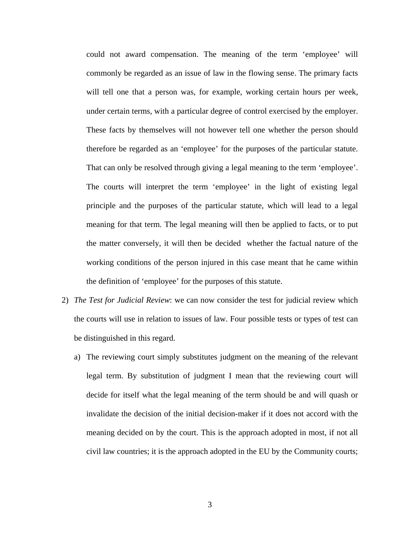could not award compensation. The meaning of the term 'employee' will commonly be regarded as an issue of law in the flowing sense. The primary facts will tell one that a person was, for example, working certain hours per week, under certain terms, with a particular degree of control exercised by the employer. These facts by themselves will not however tell one whether the person should therefore be regarded as an 'employee' for the purposes of the particular statute. That can only be resolved through giving a legal meaning to the term 'employee'. The courts will interpret the term 'employee' in the light of existing legal principle and the purposes of the particular statute, which will lead to a legal meaning for that term. The legal meaning will then be applied to facts, or to put the matter conversely, it will then be decided whether the factual nature of the working conditions of the person injured in this case meant that he came within the definition of 'employee' for the purposes of this statute.

- 2) *The Test for Judicial Review*: we can now consider the test for judicial review which the courts will use in relation to issues of law. Four possible tests or types of test can be distinguished in this regard.
	- a) The reviewing court simply substitutes judgment on the meaning of the relevant legal term. By substitution of judgment I mean that the reviewing court will decide for itself what the legal meaning of the term should be and will quash or invalidate the decision of the initial decision-maker if it does not accord with the meaning decided on by the court. This is the approach adopted in most, if not all civil law countries; it is the approach adopted in the EU by the Community courts;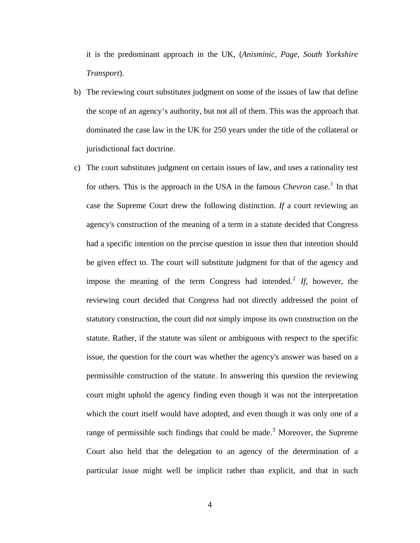it is the predominant approach in the UK, (*Anisminic, Page, South Yorkshire Transport*).

- b) The reviewing court substitutes judgment on some of the issues of law that define the scope of an agency's authority, but not all of them. This was the approach that dominated the case law in the UK for 250 years under the title of the collateral or jurisdictional fact doctrine.
- c) The court substitutes judgment on certain issues of law, and uses a rationality test for others. This is the approach in the USA in the famous *Chevron* case.<sup>[1](#page-33-1)</sup> In that case the Supreme Court drew the following distinction. *If* a court reviewing an agency's construction of the meaning of a term in a statute decided that Congress had a specific intention on the precise question in issue then that intention should be given effect to. The court will substitute judgment for that of the agency and impose the meaning of the term Congress had intended.<sup>[2](#page-33-1)</sup> If, however, the reviewing court decided that Congress had not directly addressed the point of statutory construction, the court did *not* simply impose its own construction on the statute. Rather, if the statute was silent or ambiguous with respect to the specific issue, the question for the court was whether the agency's answer was based on a permissible construction of the statute. In answering this question the reviewing court might uphold the agency finding even though it was not the interpretation which the court itself would have adopted, and even though it was only one of a range of permissible such findings that could be made.<sup>[3](#page-33-1)</sup> Moreover, the Supreme Court also held that the delegation to an agency of the determination of a particular issue might well be implicit rather than explicit, and that in such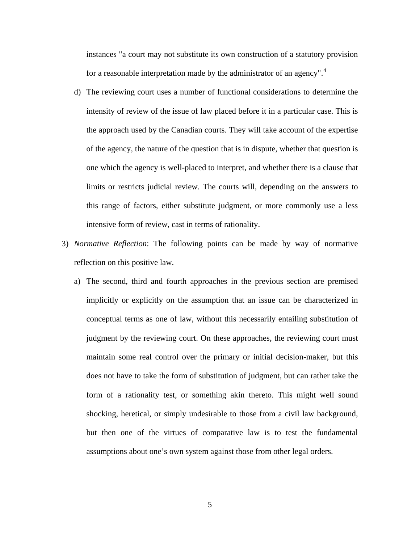instances "a court may not substitute its own construction of a statutory provision for a reasonable interpretation made by the administrator of an agency".<sup>[4](#page-33-1)</sup>

- d) The reviewing court uses a number of functional considerations to determine the intensity of review of the issue of law placed before it in a particular case. This is the approach used by the Canadian courts. They will take account of the expertise of the agency, the nature of the question that is in dispute, whether that question is one which the agency is well-placed to interpret, and whether there is a clause that limits or restricts judicial review. The courts will, depending on the answers to this range of factors, either substitute judgment, or more commonly use a less intensive form of review, cast in terms of rationality.
- 3) *Normative Reflection*: The following points can be made by way of normative reflection on this positive law.
	- a) The second, third and fourth approaches in the previous section are premised implicitly or explicitly on the assumption that an issue can be characterized in conceptual terms as one of law, without this necessarily entailing substitution of judgment by the reviewing court. On these approaches, the reviewing court must maintain some real control over the primary or initial decision-maker, but this does not have to take the form of substitution of judgment, but can rather take the form of a rationality test, or something akin thereto. This might well sound shocking, heretical, or simply undesirable to those from a civil law background, but then one of the virtues of comparative law is to test the fundamental assumptions about one's own system against those from other legal orders.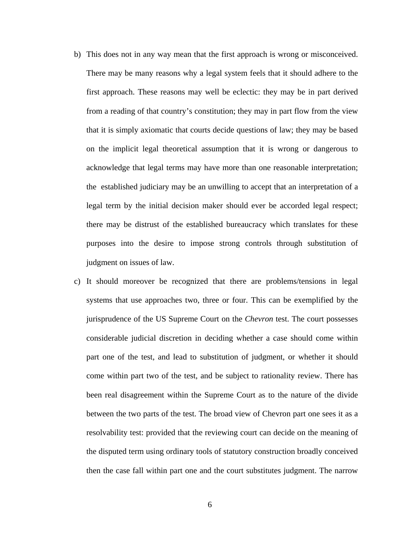- b) This does not in any way mean that the first approach is wrong or misconceived. There may be many reasons why a legal system feels that it should adhere to the first approach. These reasons may well be eclectic: they may be in part derived from a reading of that country's constitution; they may in part flow from the view that it is simply axiomatic that courts decide questions of law; they may be based on the implicit legal theoretical assumption that it is wrong or dangerous to acknowledge that legal terms may have more than one reasonable interpretation; the established judiciary may be an unwilling to accept that an interpretation of a legal term by the initial decision maker should ever be accorded legal respect; there may be distrust of the established bureaucracy which translates for these purposes into the desire to impose strong controls through substitution of judgment on issues of law.
- c) It should moreover be recognized that there are problems/tensions in legal systems that use approaches two, three or four. This can be exemplified by the jurisprudence of the US Supreme Court on the *Chevron* test. The court possesses considerable judicial discretion in deciding whether a case should come within part one of the test, and lead to substitution of judgment, or whether it should come within part two of the test, and be subject to rationality review. There has been real disagreement within the Supreme Court as to the nature of the divide between the two parts of the test. The broad view of Chevron part one sees it as a resolvability test: provided that the reviewing court can decide on the meaning of the disputed term using ordinary tools of statutory construction broadly conceived then the case fall within part one and the court substitutes judgment. The narrow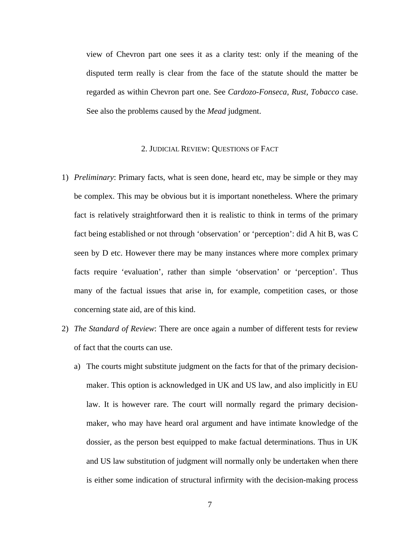view of Chevron part one sees it as a clarity test: only if the meaning of the disputed term really is clear from the face of the statute should the matter be regarded as within Chevron part one. See *Cardozo-Fonseca, Rust, Tobacco* case. See also the problems caused by the *Mead* judgment.

## 2. JUDICIAL REVIEW: QUESTIONS OF FACT

- 1) *Preliminary*: Primary facts, what is seen done, heard etc, may be simple or they may be complex. This may be obvious but it is important nonetheless. Where the primary fact is relatively straightforward then it is realistic to think in terms of the primary fact being established or not through 'observation' or 'perception': did A hit B, was C seen by D etc. However there may be many instances where more complex primary facts require 'evaluation', rather than simple 'observation' or 'perception'. Thus many of the factual issues that arise in, for example, competition cases, or those concerning state aid, are of this kind.
- 2) *The Standard of Review*: There are once again a number of different tests for review of fact that the courts can use.
	- a) The courts might substitute judgment on the facts for that of the primary decisionmaker. This option is acknowledged in UK and US law, and also implicitly in EU law. It is however rare. The court will normally regard the primary decisionmaker, who may have heard oral argument and have intimate knowledge of the dossier, as the person best equipped to make factual determinations. Thus in UK and US law substitution of judgment will normally only be undertaken when there is either some indication of structural infirmity with the decision-making process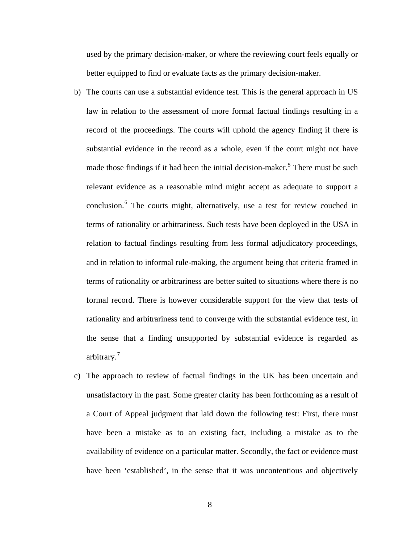used by the primary decision-maker, or where the reviewing court feels equally or better equipped to find or evaluate facts as the primary decision-maker.

- b) The courts can use a substantial evidence test. This is the general approach in US law in relation to the assessment of more formal factual findings resulting in a record of the proceedings. The courts will uphold the agency finding if there is substantial evidence in the record as a whole, even if the court might not have made those findings if it had been the initial decision-maker.<sup>[5](#page-33-1)</sup> There must be such relevant evidence as a reasonable mind might accept as adequate to support a conclusion.<sup>[6](#page-33-1)</sup> The courts might, alternatively, use a test for review couched in terms of rationality or arbitrariness. Such tests have been deployed in the USA in relation to factual findings resulting from less formal adjudicatory proceedings, and in relation to informal rule-making, the argument being that criteria framed in terms of rationality or arbitrariness are better suited to situations where there is no formal record. There is however considerable support for the view that tests of rationality and arbitrariness tend to converge with the substantial evidence test, in the sense that a finding unsupported by substantial evidence is regarded as arbitrary.<sup>[7](#page-33-1)</sup>
- c) The approach to review of factual findings in the UK has been uncertain and unsatisfactory in the past. Some greater clarity has been forthcoming as a result of a Court of Appeal judgment that laid down the following test: First, there must have been a mistake as to an existing fact, including a mistake as to the availability of evidence on a particular matter. Secondly, the fact or evidence must have been 'established', in the sense that it was uncontentious and objectively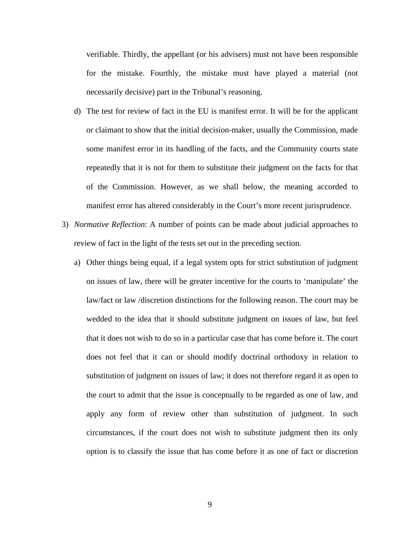verifiable. Thirdly, the appellant (or his advisers) must not have been responsible for the mistake. Fourthly, the mistake must have played a material (not necessarily decisive) part in the Tribunal's reasoning.

- d) The test for review of fact in the EU is manifest error. It will be for the applicant or claimant to show that the initial decision-maker, usually the Commission, made some manifest error in its handling of the facts, and the Community courts state repeatedly that it is not for them to substitute their judgment on the facts for that of the Commission. However, as we shall below, the meaning accorded to manifest error has altered considerably in the Court's more recent jurisprudence.
- 3) *Normative Reflection*: A number of points can be made about judicial approaches to review of fact in the light of the tests set out in the preceding section.
	- a) Other things being equal, if a legal system opts for strict substitution of judgment on issues of law, there will be greater incentive for the courts to 'manipulate' the law/fact or law /discretion distinctions for the following reason. The court may be wedded to the idea that it should substitute judgment on issues of law, but feel that it does not wish to do so in a particular case that has come before it. The court does not feel that it can or should modify doctrinal orthodoxy in relation to substitution of judgment on issues of law; it does not therefore regard it as open to the court to admit that the issue is conceptually to be regarded as one of law, and apply any form of review other than substitution of judgment. In such circumstances, if the court does not wish to substitute judgment then its only option is to classify the issue that has come before it as one of fact or discretion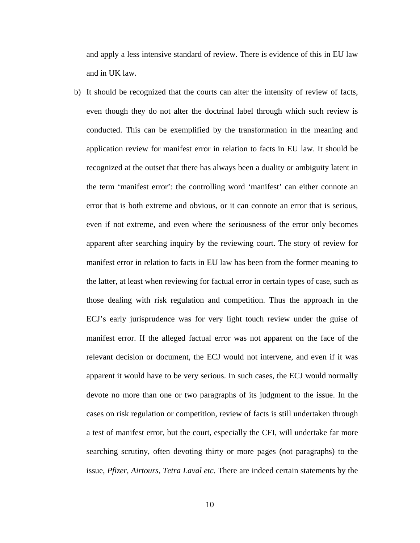and apply a less intensive standard of review. There is evidence of this in EU law and in UK law.

b) It should be recognized that the courts can alter the intensity of review of facts, even though they do not alter the doctrinal label through which such review is conducted. This can be exemplified by the transformation in the meaning and application review for manifest error in relation to facts in EU law. It should be recognized at the outset that there has always been a duality or ambiguity latent in the term 'manifest error': the controlling word 'manifest' can either connote an error that is both extreme and obvious, or it can connote an error that is serious, even if not extreme, and even where the seriousness of the error only becomes apparent after searching inquiry by the reviewing court. The story of review for manifest error in relation to facts in EU law has been from the former meaning to the latter, at least when reviewing for factual error in certain types of case, such as those dealing with risk regulation and competition. Thus the approach in the ECJ's early jurisprudence was for very light touch review under the guise of manifest error. If the alleged factual error was not apparent on the face of the relevant decision or document, the ECJ would not intervene, and even if it was apparent it would have to be very serious. In such cases, the ECJ would normally devote no more than one or two paragraphs of its judgment to the issue. In the cases on risk regulation or competition, review of facts is still undertaken through a test of manifest error, but the court, especially the CFI, will undertake far more searching scrutiny, often devoting thirty or more pages (not paragraphs) to the issue, *Pfizer, Airtours, Tetra Laval etc*. There are indeed certain statements by the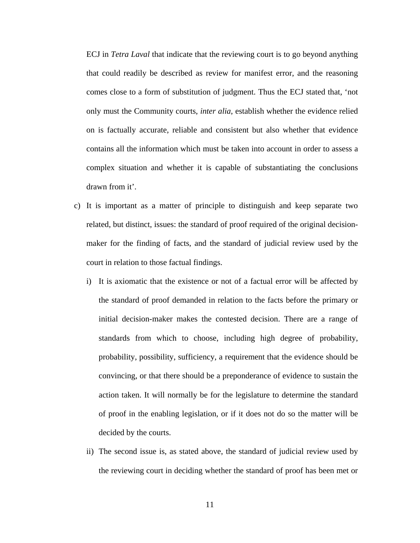ECJ in *Tetra Laval* that indicate that the reviewing court is to go beyond anything that could readily be described as review for manifest error, and the reasoning comes close to a form of substitution of judgment. Thus the ECJ stated that, 'not only must the Community courts, *inter alia*, establish whether the evidence relied on is factually accurate, reliable and consistent but also whether that evidence contains all the information which must be taken into account in order to assess a complex situation and whether it is capable of substantiating the conclusions drawn from it'.

- c) It is important as a matter of principle to distinguish and keep separate two related, but distinct, issues: the standard of proof required of the original decisionmaker for the finding of facts, and the standard of judicial review used by the court in relation to those factual findings.
	- i) It is axiomatic that the existence or not of a factual error will be affected by the standard of proof demanded in relation to the facts before the primary or initial decision-maker makes the contested decision. There are a range of standards from which to choose, including high degree of probability, probability, possibility, sufficiency, a requirement that the evidence should be convincing, or that there should be a preponderance of evidence to sustain the action taken. It will normally be for the legislature to determine the standard of proof in the enabling legislation, or if it does not do so the matter will be decided by the courts.
	- ii) The second issue is, as stated above, the standard of judicial review used by the reviewing court in deciding whether the standard of proof has been met or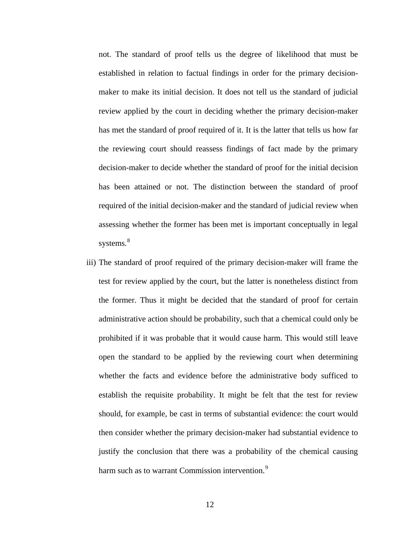not. The standard of proof tells us the degree of likelihood that must be established in relation to factual findings in order for the primary decisionmaker to make its initial decision. It does not tell us the standard of judicial review applied by the court in deciding whether the primary decision-maker has met the standard of proof required of it. It is the latter that tells us how far the reviewing court should reassess findings of fact made by the primary decision-maker to decide whether the standard of proof for the initial decision has been attained or not. The distinction between the standard of proof required of the initial decision-maker and the standard of judicial review when assessing whether the former has been met is important conceptually in legal systems.<sup>[8](#page-33-1)</sup>

iii) The standard of proof required of the primary decision-maker will frame the test for review applied by the court, but the latter is nonetheless distinct from the former. Thus it might be decided that the standard of proof for certain administrative action should be probability, such that a chemical could only be prohibited if it was probable that it would cause harm. This would still leave open the standard to be applied by the reviewing court when determining whether the facts and evidence before the administrative body sufficed to establish the requisite probability. It might be felt that the test for review should, for example, be cast in terms of substantial evidence: the court would then consider whether the primary decision-maker had substantial evidence to justify the conclusion that there was a probability of the chemical causing harm such as to warrant Commission intervention.<sup>[9](#page-33-1)</sup>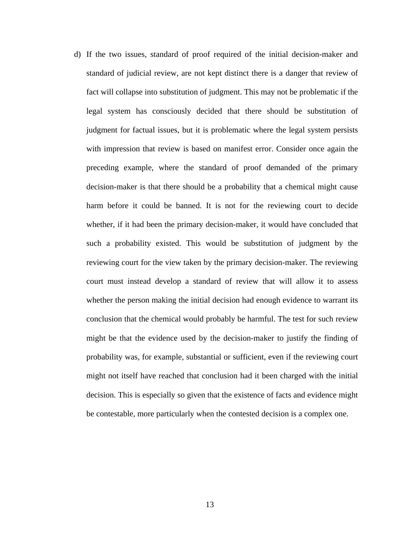d) If the two issues, standard of proof required of the initial decision-maker and standard of judicial review, are not kept distinct there is a danger that review of fact will collapse into substitution of judgment. This may not be problematic if the legal system has consciously decided that there should be substitution of judgment for factual issues, but it is problematic where the legal system persists with impression that review is based on manifest error. Consider once again the preceding example, where the standard of proof demanded of the primary decision-maker is that there should be a probability that a chemical might cause harm before it could be banned. It is not for the reviewing court to decide whether, if it had been the primary decision-maker, it would have concluded that such a probability existed. This would be substitution of judgment by the reviewing court for the view taken by the primary decision-maker. The reviewing court must instead develop a standard of review that will allow it to assess whether the person making the initial decision had enough evidence to warrant its conclusion that the chemical would probably be harmful. The test for such review might be that the evidence used by the decision-maker to justify the finding of probability was, for example, substantial or sufficient, even if the reviewing court might not itself have reached that conclusion had it been charged with the initial decision. This is especially so given that the existence of facts and evidence might be contestable, more particularly when the contested decision is a complex one.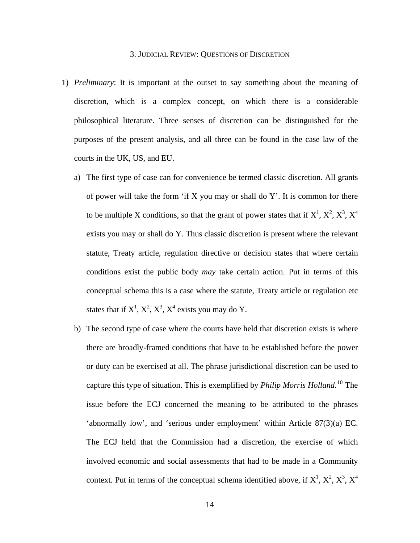### 3. JUDICIAL REVIEW: QUESTIONS OF DISCRETION

- 1) *Preliminary*: It is important at the outset to say something about the meaning of discretion, which is a complex concept, on which there is a considerable philosophical literature. Three senses of discretion can be distinguished for the purposes of the present analysis, and all three can be found in the case law of the courts in the UK, US, and EU.
	- a) The first type of case can for convenience be termed classic discretion. All grants of power will take the form 'if  $X$  you may or shall do  $Y'$ . It is common for there to be multiple X conditions, so that the grant of power states that if  $X^1$ ,  $X^2$ ,  $X^3$ ,  $X^4$ exists you may or shall do Y. Thus classic discretion is present where the relevant statute, Treaty article, regulation directive or decision states that where certain conditions exist the public body *may* take certain action. Put in terms of this conceptual schema this is a case where the statute, Treaty article or regulation etc states that if  $X^1$ ,  $X^2$ ,  $X^3$ ,  $X^4$  exists you may do Y.
	- b) The second type of case where the courts have held that discretion exists is where there are broadly-framed conditions that have to be established before the power or duty can be exercised at all. The phrase jurisdictional discretion can be used to capture this type of situation. This is exemplified by *Philip Morris Holland*. [10](#page-33-1) The issue before the ECJ concerned the meaning to be attributed to the phrases 'abnormally low', and 'serious under employment' within Article 87(3)(a) EC. The ECJ held that the Commission had a discretion, the exercise of which involved economic and social assessments that had to be made in a Community context. Put in terms of the conceptual schema identified above, if  $X^1$ ,  $X^2$ ,  $X^3$ ,  $X^4$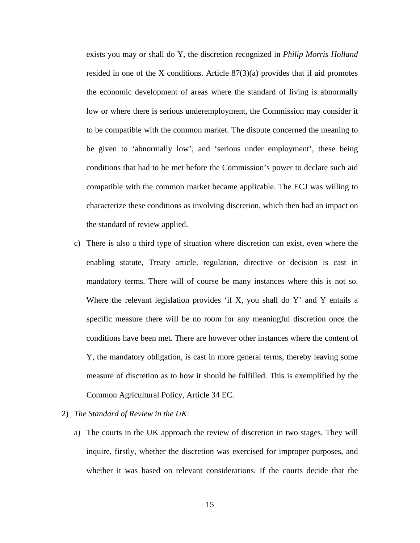exists you may or shall do Y, the discretion recognized in *Philip Morris Holland*  resided in one of the X conditions. Article  $87(3)(a)$  provides that if aid promotes the economic development of areas where the standard of living is abnormally low or where there is serious underemployment, the Commission may consider it to be compatible with the common market. The dispute concerned the meaning to be given to 'abnormally low', and 'serious under employment', these being conditions that had to be met before the Commission's power to declare such aid compatible with the common market became applicable. The ECJ was willing to characterize these conditions as involving discretion, which then had an impact on the standard of review applied.

- c) There is also a third type of situation where discretion can exist, even where the enabling statute, Treaty article, regulation, directive or decision is cast in mandatory terms. There will of course be many instances where this is not so. Where the relevant legislation provides 'if X, you shall do Y' and Y entails a specific measure there will be no room for any meaningful discretion once the conditions have been met. There are however other instances where the content of Y, the mandatory obligation, is cast in more general terms, thereby leaving some measure of discretion as to how it should be fulfilled. This is exemplified by the Common Agricultural Policy, Article 34 EC.
- 2) *The Standard of Review in the UK*:
	- a) The courts in the UK approach the review of discretion in two stages. They will inquire, firstly, whether the discretion was exercised for improper purposes, and whether it was based on relevant considerations. If the courts decide that the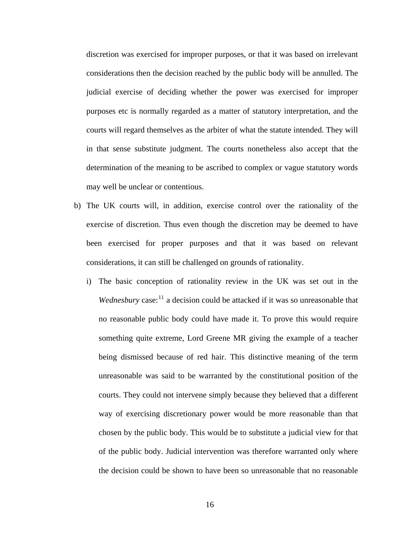discretion was exercised for improper purposes, or that it was based on irrelevant considerations then the decision reached by the public body will be annulled. The judicial exercise of deciding whether the power was exercised for improper purposes etc is normally regarded as a matter of statutory interpretation, and the courts will regard themselves as the arbiter of what the statute intended. They will in that sense substitute judgment. The courts nonetheless also accept that the determination of the meaning to be ascribed to complex or vague statutory words may well be unclear or contentious.

- b) The UK courts will, in addition, exercise control over the rationality of the exercise of discretion. Thus even though the discretion may be deemed to have been exercised for proper purposes and that it was based on relevant considerations, it can still be challenged on grounds of rationality.
	- i) The basic conception of rationality review in the UK was set out in the *Wednesbury* case:<sup>[11](#page-33-1)</sup> a decision could be attacked if it was so unreasonable that no reasonable public body could have made it. To prove this would require something quite extreme, Lord Greene MR giving the example of a teacher being dismissed because of red hair. This distinctive meaning of the term unreasonable was said to be warranted by the constitutional position of the courts. They could not intervene simply because they believed that a different way of exercising discretionary power would be more reasonable than that chosen by the public body. This would be to substitute a judicial view for that of the public body. Judicial intervention was therefore warranted only where the decision could be shown to have been so unreasonable that no reasonable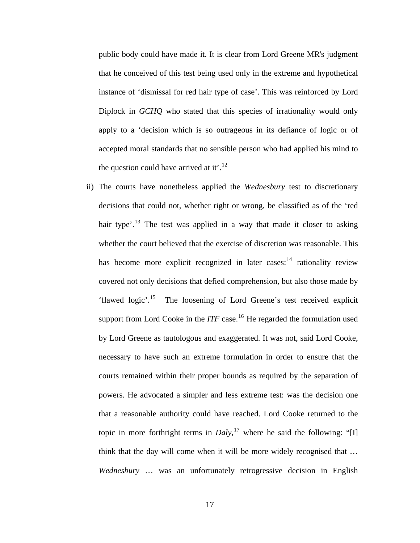public body could have made it. It is clear from Lord Greene MR's judgment that he conceived of this test being used only in the extreme and hypothetical instance of 'dismissal for red hair type of case'. This was reinforced by Lord Diplock in *GCHQ* who stated that this species of irrationality would only apply to a 'decision which is so outrageous in its defiance of logic or of accepted moral standards that no sensible person who had applied his mind to the question could have arrived at it'.<sup>[12](#page-33-1)</sup>

ii) The courts have nonetheless applied the *Wednesbury* test to discretionary decisions that could not, whether right or wrong, be classified as of the 'red hair type'.<sup>[13](#page-33-1)</sup> The test was applied in a way that made it closer to asking whether the court believed that the exercise of discretion was reasonable. This has become more explicit recognized in later cases: $14$  rationality review covered not only decisions that defied comprehension, but also those made by 'flawed logic'.[15](#page-33-1) The loosening of Lord Greene's test received explicit support from Lord Cooke in the *ITF* case.<sup>[16](#page-33-1)</sup> He regarded the formulation used by Lord Greene as tautologous and exaggerated. It was not, said Lord Cooke, necessary to have such an extreme formulation in order to ensure that the courts remained within their proper bounds as required by the separation of powers. He advocated a simpler and less extreme test: was the decision one that a reasonable authority could have reached. Lord Cooke returned to the topic in more forthright terms in  $Daly$ ,<sup>[17](#page-33-1)</sup> where he said the following: "[I] think that the day will come when it will be more widely recognised that … *Wednesbury* … was an unfortunately retrogressive decision in English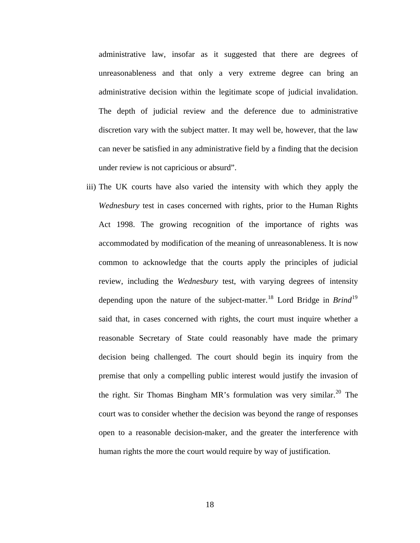administrative law, insofar as it suggested that there are degrees of unreasonableness and that only a very extreme degree can bring an administrative decision within the legitimate scope of judicial invalidation. The depth of judicial review and the deference due to administrative discretion vary with the subject matter. It may well be, however, that the law can never be satisfied in any administrative field by a finding that the decision under review is not capricious or absurd".

iii) The UK courts have also varied the intensity with which they apply the *Wednesbury* test in cases concerned with rights, prior to the Human Rights Act 1998. The growing recognition of the importance of rights was accommodated by modification of the meaning of unreasonableness. It is now common to acknowledge that the courts apply the principles of judicial review, including the *Wednesbury* test, with varying degrees of intensity depending upon the nature of the subject-matter.[18](#page-33-1) Lord Bridge in *Brind*[19](#page-33-1) said that, in cases concerned with rights, the court must inquire whether a reasonable Secretary of State could reasonably have made the primary decision being challenged. The court should begin its inquiry from the premise that only a compelling public interest would justify the invasion of the right. Sir Thomas Bingham MR's formulation was very similar.<sup>[20](#page-33-1)</sup> The court was to consider whether the decision was beyond the range of responses open to a reasonable decision-maker, and the greater the interference with human rights the more the court would require by way of justification.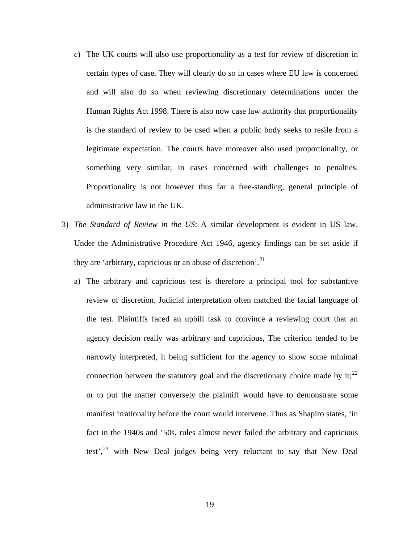- c) The UK courts will also use proportionality as a test for review of discretion in certain types of case. They will clearly do so in cases where EU law is concerned and will also do so when reviewing discretionary determinations under the Human Rights Act 1998. There is also now case law authority that proportionality is the standard of review to be used when a public body seeks to resile from a legitimate expectation. The courts have moreover also used proportionality, or something very similar, in cases concerned with challenges to penalties. Proportionality is not however thus far a free-standing, general principle of administrative law in the UK.
- 3) *The Standard of Review in the US*: A similar development is evident in US law. Under the Administrative Procedure Act 1946, agency findings can be set aside if they are 'arbitrary, capricious or an abuse of discretion'.<sup>[21](#page-33-1)</sup>
	- a) The arbitrary and capricious test is therefore a principal tool for substantive review of discretion. Judicial interpretation often matched the facial language of the test. Plaintiffs faced an uphill task to convince a reviewing court that an agency decision really was arbitrary and capricious, The criterion tended to be narrowly interpreted, it being sufficient for the agency to show some minimal connection between the statutory goal and the discretionary choice made by it;<sup>[22](#page-33-1)</sup> or to put the matter conversely the plaintiff would have to demonstrate some manifest irrationality before the court would intervene. Thus as Shapiro states, 'in fact in the 1940s and '50s, rules almost never failed the arbitrary and capricious test', $23$  with New Deal judges being very reluctant to say that New Deal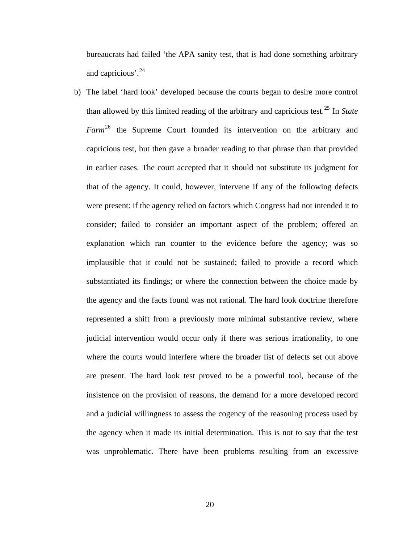bureaucrats had failed 'the APA sanity test, that is had done something arbitrary and capricious'.<sup>[24](#page-33-1)</sup>

b) The label 'hard look' developed because the courts began to desire more control than allowed by this limited reading of the arbitrary and capricious test.[25](#page-33-1) In *State Farm*[26](#page-33-1) the Supreme Court founded its intervention on the arbitrary and capricious test, but then gave a broader reading to that phrase than that provided in earlier cases. The court accepted that it should not substitute its judgment for that of the agency. It could, however, intervene if any of the following defects were present: if the agency relied on factors which Congress had not intended it to consider; failed to consider an important aspect of the problem; offered an explanation which ran counter to the evidence before the agency; was so implausible that it could not be sustained; failed to provide a record which substantiated its findings; or where the connection between the choice made by the agency and the facts found was not rational. The hard look doctrine therefore represented a shift from a previously more minimal substantive review, where judicial intervention would occur only if there was serious irrationality, to one where the courts would interfere where the broader list of defects set out above are present. The hard look test proved to be a powerful tool, because of the insistence on the provision of reasons, the demand for a more developed record and a judicial willingness to assess the cogency of the reasoning process used by the agency when it made its initial determination. This is not to say that the test was unproblematic. There have been problems resulting from an excessive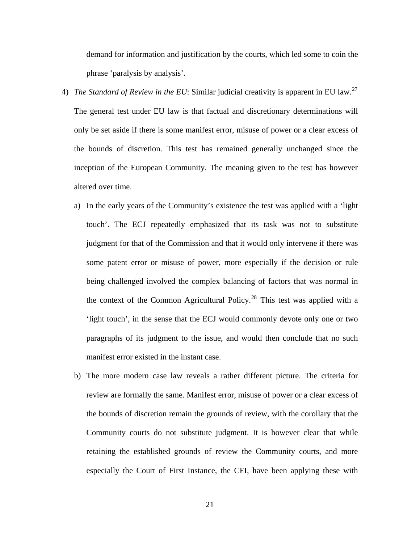demand for information and justification by the courts, which led some to coin the phrase 'paralysis by analysis'.

- 4) *The Standard of Review in the EU*: Similar judicial creativity is apparent in EU law.<sup>[27](#page-33-1)</sup> The general test under EU law is that factual and discretionary determinations will only be set aside if there is some manifest error, misuse of power or a clear excess of the bounds of discretion. This test has remained generally unchanged since the inception of the European Community. The meaning given to the test has however altered over time.
	- a) In the early years of the Community's existence the test was applied with a 'light touch'. The ECJ repeatedly emphasized that its task was not to substitute judgment for that of the Commission and that it would only intervene if there was some patent error or misuse of power, more especially if the decision or rule being challenged involved the complex balancing of factors that was normal in the context of the Common Agricultural Policy.<sup>[28](#page-33-1)</sup> This test was applied with a 'light touch', in the sense that the ECJ would commonly devote only one or two paragraphs of its judgment to the issue, and would then conclude that no such manifest error existed in the instant case.
	- b) The more modern case law reveals a rather different picture. The criteria for review are formally the same. Manifest error, misuse of power or a clear excess of the bounds of discretion remain the grounds of review, with the corollary that the Community courts do not substitute judgment. It is however clear that while retaining the established grounds of review the Community courts, and more especially the Court of First Instance, the CFI, have been applying these with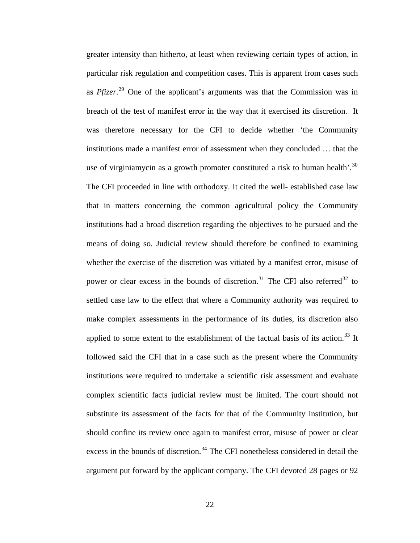greater intensity than hitherto, at least when reviewing certain types of action, in particular risk regulation and competition cases. This is apparent from cases such as *Pfizer*. [29](#page-33-1) One of the applicant's arguments was that the Commission was in breach of the test of manifest error in the way that it exercised its discretion. It was therefore necessary for the CFI to decide whether 'the Community institutions made a manifest error of assessment when they concluded … that the use of virginiamycin as a growth promoter constituted a risk to human health'.<sup>[30](#page-33-1)</sup> The CFI proceeded in line with orthodoxy. It cited the well- established case law that in matters concerning the common agricultural policy the Community institutions had a broad discretion regarding the objectives to be pursued and the means of doing so. Judicial review should therefore be confined to examining whether the exercise of the discretion was vitiated by a manifest error, misuse of power or clear excess in the bounds of discretion.<sup>[31](#page-33-1)</sup> The CFI also referred<sup>[32](#page-33-1)</sup> to settled case law to the effect that where a Community authority was required to make complex assessments in the performance of its duties, its discretion also applied to some extent to the establishment of the factual basis of its action.<sup>[33](#page-33-1)</sup> It followed said the CFI that in a case such as the present where the Community institutions were required to undertake a scientific risk assessment and evaluate complex scientific facts judicial review must be limited. The court should not substitute its assessment of the facts for that of the Community institution, but should confine its review once again to manifest error, misuse of power or clear excess in the bounds of discretion.<sup>[34](#page-33-1)</sup> The CFI nonetheless considered in detail the argument put forward by the applicant company. The CFI devoted 28 pages or 92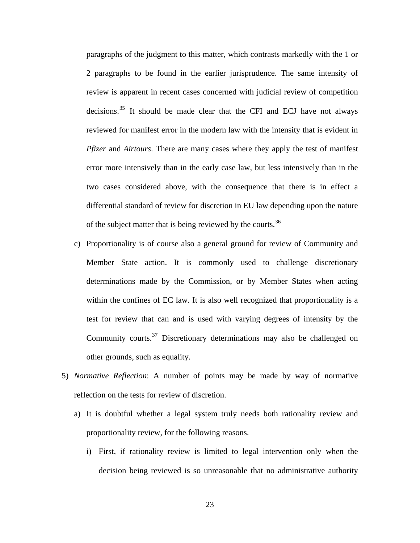paragraphs of the judgment to this matter, which contrasts markedly with the 1 or 2 paragraphs to be found in the earlier jurisprudence. The same intensity of review is apparent in recent cases concerned with judicial review of competition decisions.<sup>[35](#page-33-1)</sup> It should be made clear that the CFI and ECJ have not always reviewed for manifest error in the modern law with the intensity that is evident in *Pfizer* and *Airtours*. There are many cases where they apply the test of manifest error more intensively than in the early case law, but less intensively than in the two cases considered above, with the consequence that there is in effect a differential standard of review for discretion in EU law depending upon the nature of the subject matter that is being reviewed by the courts.<sup>[36](#page-33-1)</sup>

- c) Proportionality is of course also a general ground for review of Community and Member State action. It is commonly used to challenge discretionary determinations made by the Commission, or by Member States when acting within the confines of EC law. It is also well recognized that proportionality is a test for review that can and is used with varying degrees of intensity by the Community courts.[37](#page-33-1) Discretionary determinations may also be challenged on other grounds, such as equality.
- 5) *Normative Reflection*: A number of points may be made by way of normative reflection on the tests for review of discretion.
	- a) It is doubtful whether a legal system truly needs both rationality review and proportionality review, for the following reasons.
		- i) First, if rationality review is limited to legal intervention only when the decision being reviewed is so unreasonable that no administrative authority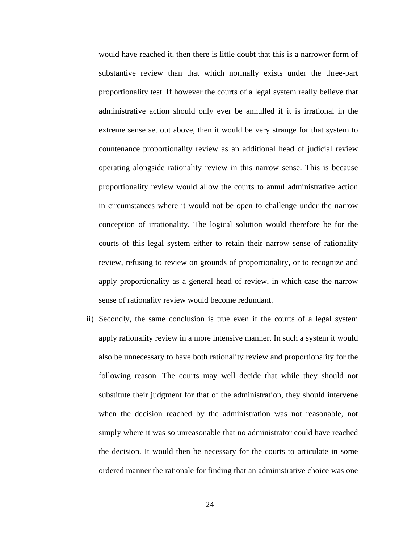would have reached it, then there is little doubt that this is a narrower form of substantive review than that which normally exists under the three-part proportionality test. If however the courts of a legal system really believe that administrative action should only ever be annulled if it is irrational in the extreme sense set out above, then it would be very strange for that system to countenance proportionality review as an additional head of judicial review operating alongside rationality review in this narrow sense. This is because proportionality review would allow the courts to annul administrative action in circumstances where it would not be open to challenge under the narrow conception of irrationality. The logical solution would therefore be for the courts of this legal system either to retain their narrow sense of rationality review, refusing to review on grounds of proportionality, or to recognize and apply proportionality as a general head of review, in which case the narrow sense of rationality review would become redundant.

ii) Secondly, the same conclusion is true even if the courts of a legal system apply rationality review in a more intensive manner. In such a system it would also be unnecessary to have both rationality review and proportionality for the following reason. The courts may well decide that while they should not substitute their judgment for that of the administration, they should intervene when the decision reached by the administration was not reasonable, not simply where it was so unreasonable that no administrator could have reached the decision. It would then be necessary for the courts to articulate in some ordered manner the rationale for finding that an administrative choice was one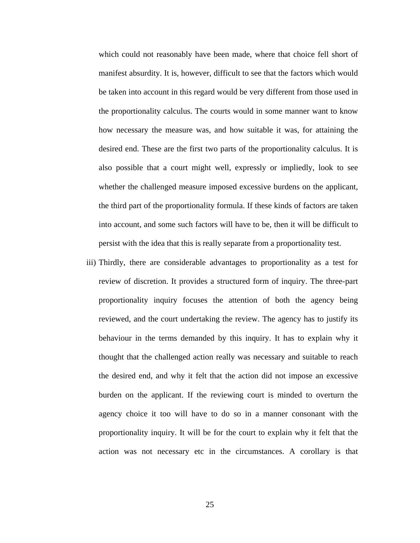which could not reasonably have been made, where that choice fell short of manifest absurdity. It is, however, difficult to see that the factors which would be taken into account in this regard would be very different from those used in the proportionality calculus. The courts would in some manner want to know how necessary the measure was, and how suitable it was, for attaining the desired end. These are the first two parts of the proportionality calculus. It is also possible that a court might well, expressly or impliedly, look to see whether the challenged measure imposed excessive burdens on the applicant, the third part of the proportionality formula. If these kinds of factors are taken into account, and some such factors will have to be, then it will be difficult to persist with the idea that this is really separate from a proportionality test.

iii) Thirdly, there are considerable advantages to proportionality as a test for review of discretion. It provides a structured form of inquiry. The three-part proportionality inquiry focuses the attention of both the agency being reviewed, and the court undertaking the review. The agency has to justify its behaviour in the terms demanded by this inquiry. It has to explain why it thought that the challenged action really was necessary and suitable to reach the desired end, and why it felt that the action did not impose an excessive burden on the applicant. If the reviewing court is minded to overturn the agency choice it too will have to do so in a manner consonant with the proportionality inquiry. It will be for the court to explain why it felt that the action was not necessary etc in the circumstances. A corollary is that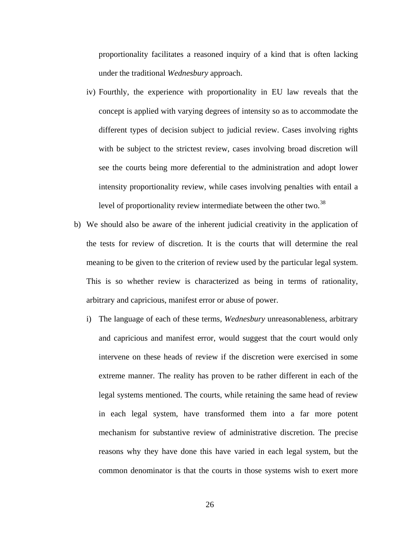proportionality facilitates a reasoned inquiry of a kind that is often lacking under the traditional *Wednesbury* approach.

- iv) Fourthly, the experience with proportionality in EU law reveals that the concept is applied with varying degrees of intensity so as to accommodate the different types of decision subject to judicial review. Cases involving rights with be subject to the strictest review, cases involving broad discretion will see the courts being more deferential to the administration and adopt lower intensity proportionality review, while cases involving penalties with entail a level of proportionality review intermediate between the other two.<sup>[38](#page-33-1)</sup>
- b) We should also be aware of the inherent judicial creativity in the application of the tests for review of discretion. It is the courts that will determine the real meaning to be given to the criterion of review used by the particular legal system. This is so whether review is characterized as being in terms of rationality, arbitrary and capricious, manifest error or abuse of power.
	- i) The language of each of these terms, *Wednesbury* unreasonableness, arbitrary and capricious and manifest error, would suggest that the court would only intervene on these heads of review if the discretion were exercised in some extreme manner. The reality has proven to be rather different in each of the legal systems mentioned. The courts, while retaining the same head of review in each legal system, have transformed them into a far more potent mechanism for substantive review of administrative discretion. The precise reasons why they have done this have varied in each legal system, but the common denominator is that the courts in those systems wish to exert more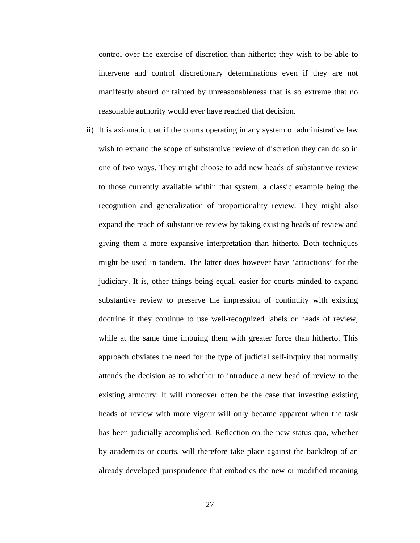control over the exercise of discretion than hitherto; they wish to be able to intervene and control discretionary determinations even if they are not manifestly absurd or tainted by unreasonableness that is so extreme that no reasonable authority would ever have reached that decision.

ii) It is axiomatic that if the courts operating in any system of administrative law wish to expand the scope of substantive review of discretion they can do so in one of two ways. They might choose to add new heads of substantive review to those currently available within that system, a classic example being the recognition and generalization of proportionality review. They might also expand the reach of substantive review by taking existing heads of review and giving them a more expansive interpretation than hitherto. Both techniques might be used in tandem. The latter does however have 'attractions' for the judiciary. It is, other things being equal, easier for courts minded to expand substantive review to preserve the impression of continuity with existing doctrine if they continue to use well-recognized labels or heads of review, while at the same time imbuing them with greater force than hitherto. This approach obviates the need for the type of judicial self-inquiry that normally attends the decision as to whether to introduce a new head of review to the existing armoury. It will moreover often be the case that investing existing heads of review with more vigour will only became apparent when the task has been judicially accomplished. Reflection on the new status quo, whether by academics or courts, will therefore take place against the backdrop of an already developed jurisprudence that embodies the new or modified meaning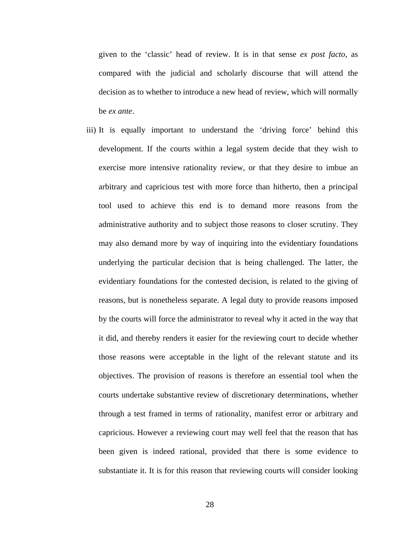given to the 'classic' head of review. It is in that sense *ex post facto*, as compared with the judicial and scholarly discourse that will attend the decision as to whether to introduce a new head of review, which will normally be *ex ante*.

iii) It is equally important to understand the 'driving force' behind this development. If the courts within a legal system decide that they wish to exercise more intensive rationality review, or that they desire to imbue an arbitrary and capricious test with more force than hitherto, then a principal tool used to achieve this end is to demand more reasons from the administrative authority and to subject those reasons to closer scrutiny. They may also demand more by way of inquiring into the evidentiary foundations underlying the particular decision that is being challenged. The latter, the evidentiary foundations for the contested decision, is related to the giving of reasons, but is nonetheless separate. A legal duty to provide reasons imposed by the courts will force the administrator to reveal why it acted in the way that it did, and thereby renders it easier for the reviewing court to decide whether those reasons were acceptable in the light of the relevant statute and its objectives. The provision of reasons is therefore an essential tool when the courts undertake substantive review of discretionary determinations, whether through a test framed in terms of rationality, manifest error or arbitrary and capricious. However a reviewing court may well feel that the reason that has been given is indeed rational, provided that there is some evidence to substantiate it. It is for this reason that reviewing courts will consider looking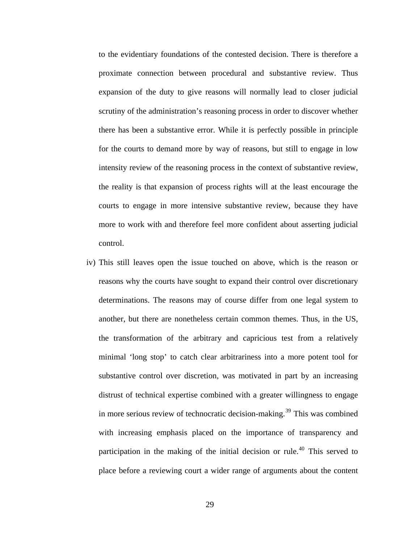to the evidentiary foundations of the contested decision. There is therefore a proximate connection between procedural and substantive review. Thus expansion of the duty to give reasons will normally lead to closer judicial scrutiny of the administration's reasoning process in order to discover whether there has been a substantive error. While it is perfectly possible in principle for the courts to demand more by way of reasons, but still to engage in low intensity review of the reasoning process in the context of substantive review, the reality is that expansion of process rights will at the least encourage the courts to engage in more intensive substantive review, because they have more to work with and therefore feel more confident about asserting judicial control.

iv) This still leaves open the issue touched on above, which is the reason or reasons why the courts have sought to expand their control over discretionary determinations. The reasons may of course differ from one legal system to another, but there are nonetheless certain common themes. Thus, in the US, the transformation of the arbitrary and capricious test from a relatively minimal 'long stop' to catch clear arbitrariness into a more potent tool for substantive control over discretion, was motivated in part by an increasing distrust of technical expertise combined with a greater willingness to engage in more serious review of technocratic decision-making.<sup>[39](#page-33-1)</sup> This was combined with increasing emphasis placed on the importance of transparency and participation in the making of the initial decision or rule.<sup>[40](#page-33-1)</sup> This served to place before a reviewing court a wider range of arguments about the content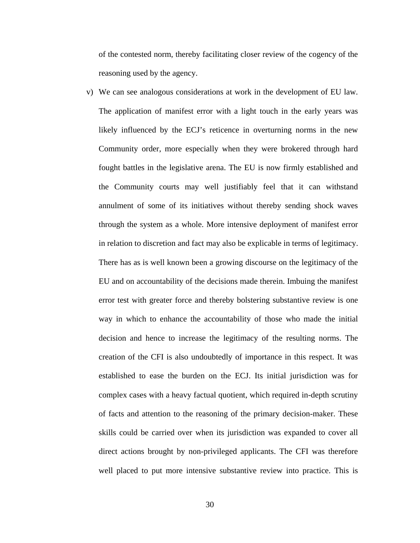of the contested norm, thereby facilitating closer review of the cogency of the reasoning used by the agency.

v) We can see analogous considerations at work in the development of EU law. The application of manifest error with a light touch in the early years was likely influenced by the ECJ's reticence in overturning norms in the new Community order, more especially when they were brokered through hard fought battles in the legislative arena. The EU is now firmly established and the Community courts may well justifiably feel that it can withstand annulment of some of its initiatives without thereby sending shock waves through the system as a whole. More intensive deployment of manifest error in relation to discretion and fact may also be explicable in terms of legitimacy. There has as is well known been a growing discourse on the legitimacy of the EU and on accountability of the decisions made therein. Imbuing the manifest error test with greater force and thereby bolstering substantive review is one way in which to enhance the accountability of those who made the initial decision and hence to increase the legitimacy of the resulting norms. The creation of the CFI is also undoubtedly of importance in this respect. It was established to ease the burden on the ECJ. Its initial jurisdiction was for complex cases with a heavy factual quotient, which required in-depth scrutiny of facts and attention to the reasoning of the primary decision-maker. These skills could be carried over when its jurisdiction was expanded to cover all direct actions brought by non-privileged applicants. The CFI was therefore well placed to put more intensive substantive review into practice. This is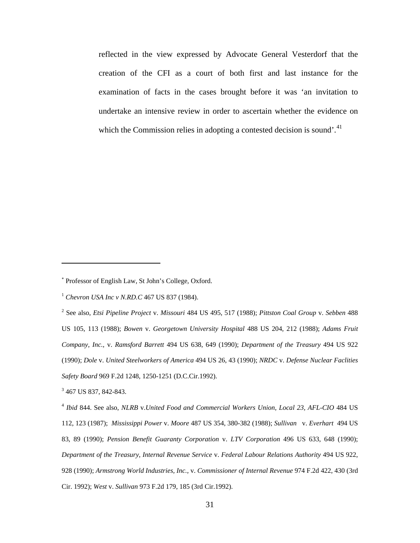reflected in the view expressed by Advocate General Vesterdorf that the creation of the CFI as a court of both first and last instance for the examination of facts in the cases brought before it was 'an invitation to undertake an intensive review in order to ascertain whether the evidence on which the Commission relies in adopting a contested decision is sound.<sup>[41](#page-33-1)</sup>

<sup>3</sup> 467 US 837, 842-843.

1

<sup>4</sup> *Ibid* 844. See also, *NLRB* v.*United Food and Commercial Workers Union, Local 23, AFL-CIO* 484 US 112, 123 (1987); *Mississippi Power* v. *Moore* 487 US 354, 380-382 (1988); *Sullivan* v. *Everhart* 494 US 83, 89 (1990); *Pension Benefit Guaranty Corporation* v. *LTV Corporation* 496 US 633, 648 (1990); *Department of the Treasury, Internal Revenue Service* v. *Federal Labour Relations Authority* 494 US 922, 928 (1990); *Armstrong World Industries, Inc.,* v. *Commissioner of Internal Revenue* 974 F.2d 422, 430 (3rd Cir. 1992); *West* v. *Sullivan* 973 F.2d 179, 185 (3rd Cir.1992).

<sup>∗</sup> Professor of English Law, St John's College, Oxford.

<sup>1</sup> *Chevron USA Inc v N.RD.C* 467 US 837 (1984).

<sup>2</sup> See also, *Etsi Pipeline Project* v. *Missouri* 484 US 495, 517 (1988); *Pittston Coal Group* v. *Sebben* 488 US 105, 113 (1988); *Bowen* v. *Georgetown University Hospital* 488 US 204, 212 (1988); *Adams Fruit Company, Inc.,* v. *Ramsford Barrett* 494 US 638, 649 (1990); *Department of the Treasury* 494 US 922 (1990); *Dole* v. *United Steelworkers of America* 494 US 26, 43 (1990); *NRDC* v. *Defense Nuclear Faclities Safety Board* 969 F.2d 1248, 1250-1251 (D.C.Cir.1992).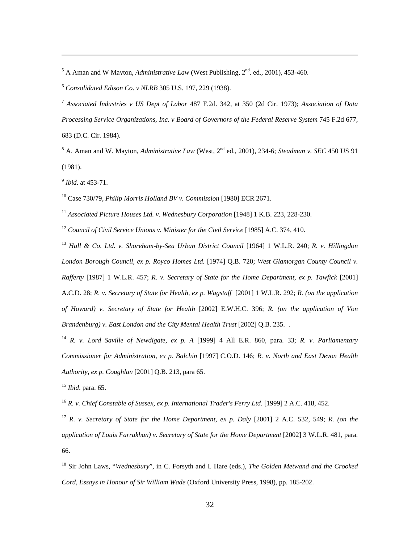$<sup>5</sup>$  A Aman and W Mayton, *Administrative Law* (West Publishing,  $2<sup>nd</sup>$ . ed., 2001), 453-460.</sup>

<sup>6</sup> *Consolidated Edison Co. v NLRB* 305 U.S. 197, 229 (1938).

<sup>7</sup> *Associated Industries v US Dept of Labor* 487 F.2d. 342, at 350 (2d Cir. 1973); *Association of Data*  Processing Service Organizations, Inc. v Board of Governors of the Federal Reserve System 745 F.2d 677, 683 (D.C. Cir. 1984).

<sup>8</sup> A. Aman and W. Mayton, *Administrative Law* (West, 2<sup>nd</sup> ed., 2001), 234-6; *Steadman v. SEC* 450 US 91 (1981).

<sup>9</sup> *Ibid*. at 453-71.

 $\overline{a}$ 

10 Case 730/79, *Philip Morris Holland BV v. Commission* [1980] ECR 2671.

<sup>11</sup> *Associated Picture Houses Ltd. v. Wednesbury Corporation* [1948] 1 K.B. 223, 228-230.

<sup>12</sup> *Council of Civil Service Unions v. Minister for the Civil Service* [1985] A.C. 374, 410.

<sup>13</sup> *Hall & Co. Ltd. v. Shoreham-by-Sea Urban District Council* [1964] 1 W.L.R. 240; *R. v. Hillingdon London Borough Council, ex p. Royco Homes Ltd.* [1974] Q.B. 720; *West Glamorgan County Council v. Rafferty* [1987] 1 W.L.R. 457; *R. v. Secretary of State for the Home Department, ex p. Tawfick* [2001] A.C.D. 28; *R. v. Secretary of State for Health, ex p. Wagstaff* [2001] 1 W.L.R. 292; *R. (on the application of Howard) v. Secretary of State for Health* [2002] E.W.H.C. 396; *R. (on the application of Von Brandenburg) v. East London and the City Mental Health Trust* [2002] Q.B. 235. .

<sup>14</sup> *R. v. Lord Saville of Newdigate, ex p. A* [1999] 4 All E.R. 860, para. 33; *R. v. Parliamentary Commissioner for Administration, ex p. Balchin* [1997] C.O.D. 146; *R. v. North and East Devon Health Authority, ex p. Coughlan* [2001] Q.B. 213, para 65.

<sup>15</sup> *Ibid*. para. 65.

<sup>16</sup> *R. v. Chief Constable of Sussex, ex p. International Trader's Ferry Ltd.* [1999] 2 A.C. 418, 452.

<sup>17</sup> *R. v. Secretary of State for the Home Department, ex p. Daly* [2001] 2 A.C. 532, 549; *R. (on the application of Louis Farrakhan) v. Secretary of State for the Home Department* [2002] 3 W.L.R. 481, para. 66.

18 Sir John Laws, "*Wednesbury*", in C. Forsyth and I. Hare (eds.), *The Golden Metwand and the Crooked Cord, Essays in Honour of Sir William Wade* (Oxford University Press, 1998), pp. 185-202.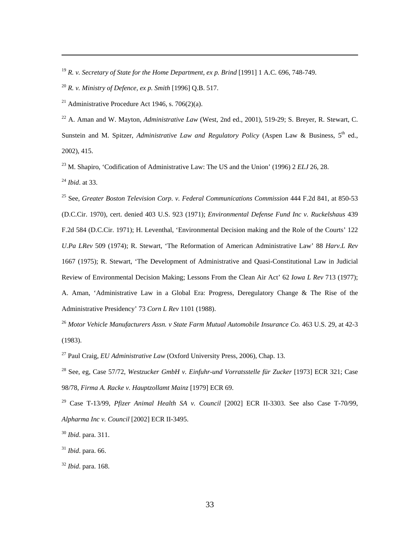<sup>19</sup> *R. v. Secretary of State for the Home Department, ex p. Brind* [1991] 1 A.C. 696, 748-749.

<sup>20</sup> *R. v. Ministry of Defence, ex p. Smith* [1996] Q.B. 517.

<sup>21</sup> Administrative Procedure Act 1946, s. 706(2)(a).

<sup>22</sup> A. Aman and W. Mayton, *Administrative Law* (West, 2nd ed., 2001), 519-29; S. Breyer, R. Stewart, C. Sunstein and M. Spitzer, *Administrative Law and Regulatory Policy* (Aspen Law & Business, 5<sup>th</sup> ed., 2002), 415.

23 M. Shapiro, 'Codification of Administrative Law: The US and the Union' (1996) 2 *ELJ* 26, 28.

<sup>24</sup> *Ibid*. at 33.

 $\overline{a}$ 

25 See, *Greater Boston Television Corp. v. Federal Communications Commission* 444 F.2d 841, at 850-53 (D.C.Cir. 1970), cert. denied 403 U.S. 923 (1971); *Environmental Defense Fund Inc v. Ruckelshaus* 439 F.2d 584 (D.C.Cir. 1971); H. Leventhal, 'Environmental Decision making and the Role of the Courts' 122 *U.Pa LRev* 509 (1974); R. Stewart, 'The Reformation of American Administrative Law' 88 *Harv.L Rev* 1667 (1975); R. Stewart, 'The Development of Administrative and Quasi-Constitutional Law in Judicial Review of Environmental Decision Making; Lessons From the Clean Air Act' 62 *Iowa L Rev* 713 (1977); A. Aman, 'Administrative Law in a Global Era: Progress, Deregulatory Change & The Rise of the Administrative Presidency' 73 *Corn L Rev* 1101 (1988).

<sup>26</sup> *Motor Vehicle Manufacturers Assn. v State Farm Mutual Automobile Insurance Co.* 463 U.S. 29, at 42-3 (1983).

27 Paul Craig, *EU Administrative Law* (Oxford University Press, 2006), Chap. 13.

28 See, eg, Case 57/72, *Westzucker GmbH v. Einfuhr-und Vorratsstelle für Zucker* [1973] ECR 321; Case 98/78, *Firma A. Racke v. Hauptzollamt Mainz* [1979] ECR 69.

29 Case T-13/99, *Pfizer Animal Health SA v. Council* [2002] ECR II-3303. See also Case T-70/99, *Alpharma Inc v. Council* [2002] ECR II-3495.

<sup>30</sup> *Ibid*. para. 311.

<sup>31</sup> *Ibid*. para. 66.

<sup>32</sup> *Ibid*. para. 168.